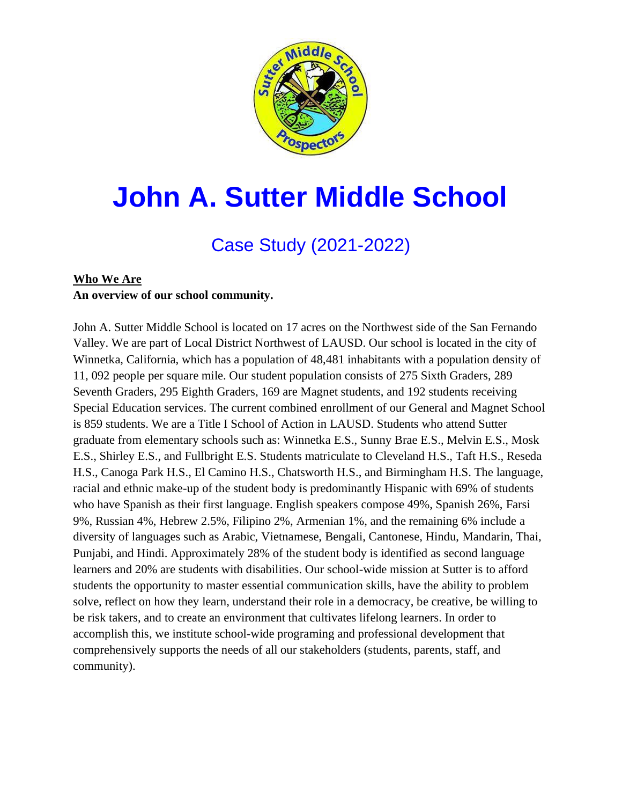

# **John A. Sutter Middle School**

# Case Study (2021-2022)

# **Who We Are An overview of our school community.**

John A. Sutter Middle School is located on 17 acres on the Northwest side of the San Fernando Valley. We are part of Local District Northwest of LAUSD. Our school is located in the city of Winnetka, California, which has a population of 48,481 inhabitants with a population density of 11, 092 people per square mile. Our student population consists of 275 Sixth Graders, 289 Seventh Graders, 295 Eighth Graders, 169 are Magnet students, and 192 students receiving Special Education services. The current combined enrollment of our General and Magnet School is 859 students. We are a Title I School of Action in LAUSD. Students who attend Sutter graduate from elementary schools such as: Winnetka E.S., Sunny Brae E.S., Melvin E.S., Mosk E.S., Shirley E.S., and Fullbright E.S. Students matriculate to Cleveland H.S., Taft H.S., Reseda H.S., Canoga Park H.S., El Camino H.S., Chatsworth H.S., and Birmingham H.S. The language, racial and ethnic make-up of the student body is predominantly Hispanic with 69% of students who have Spanish as their first language. English speakers compose 49%, Spanish 26%, Farsi 9%, Russian 4%, Hebrew 2.5%, Filipino 2%, Armenian 1%, and the remaining 6% include a diversity of languages such as Arabic, Vietnamese, Bengali, Cantonese, Hindu, Mandarin, Thai, Punjabi, and Hindi. Approximately 28% of the student body is identified as second language learners and 20% are students with disabilities. Our school-wide mission at Sutter is to afford students the opportunity to master essential communication skills, have the ability to problem solve, reflect on how they learn, understand their role in a democracy, be creative, be willing to be risk takers, and to create an environment that cultivates lifelong learners. In order to accomplish this, we institute school-wide programing and professional development that comprehensively supports the needs of all our stakeholders (students, parents, staff, and community).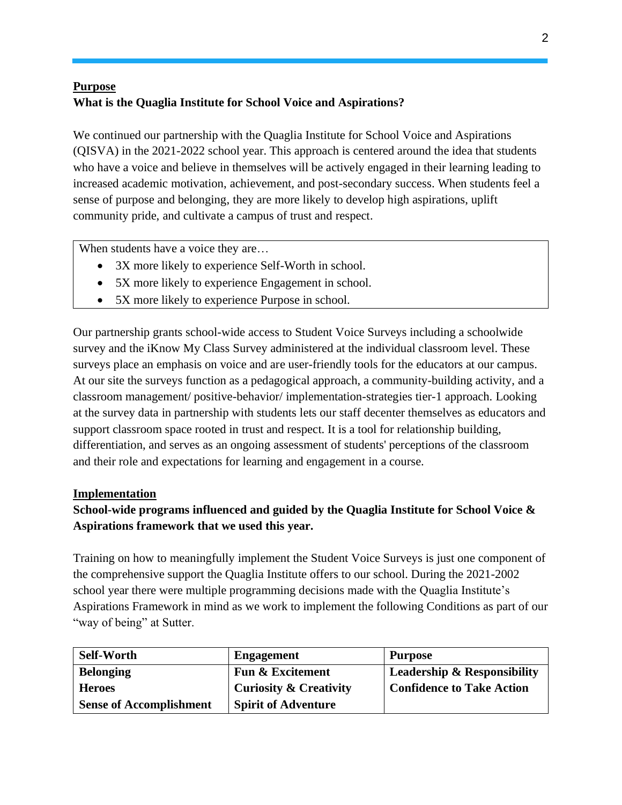# **Purpose What is the Quaglia Institute for School Voice and Aspirations?**

We continued our partnership with the Quaglia Institute for School Voice and Aspirations (QISVA) in the 2021-2022 school year. This approach is centered around the idea that students who have a voice and believe in themselves will be actively engaged in their learning leading to increased academic motivation, achievement, and post-secondary success. When students feel a sense of purpose and belonging, they are more likely to develop high aspirations, uplift community pride, and cultivate a campus of trust and respect.

When students have a voice they are...

- 3X more likely to experience Self-Worth in school.
- 5X more likely to experience Engagement in school.
- 5X more likely to experience Purpose in school.

Our partnership grants school-wide access to Student Voice Surveys including a schoolwide survey and the iKnow My Class Survey administered at the individual classroom level. These surveys place an emphasis on voice and are user-friendly tools for the educators at our campus. At our site the surveys function as a pedagogical approach, a community-building activity, and a classroom management/ positive-behavior/ implementation-strategies tier-1 approach. Looking at the survey data in partnership with students lets our staff decenter themselves as educators and support classroom space rooted in trust and respect. It is a tool for relationship building, differentiation, and serves as an ongoing assessment of students' perceptions of the classroom and their role and expectations for learning and engagement in a course.

#### **Implementation**

## **School-wide programs influenced and guided by the Quaglia Institute for School Voice & Aspirations framework that we used this year.**

Training on how to meaningfully implement the Student Voice Surveys is just one component of the comprehensive support the Quaglia Institute offers to our school. During the 2021-2002 school year there were multiple programming decisions made with the Quaglia Institute's Aspirations Framework in mind as we work to implement the following Conditions as part of our "way of being" at Sutter.

| <b>Self-Worth</b>              | <b>Engagement</b>                 | <b>Purpose</b>                         |
|--------------------------------|-----------------------------------|----------------------------------------|
| <b>Belonging</b>               | <b>Fun &amp; Excitement</b>       | <b>Leadership &amp; Responsibility</b> |
| <b>Heroes</b>                  | <b>Curiosity &amp; Creativity</b> | <b>Confidence to Take Action</b>       |
| <b>Sense of Accomplishment</b> | <b>Spirit of Adventure</b>        |                                        |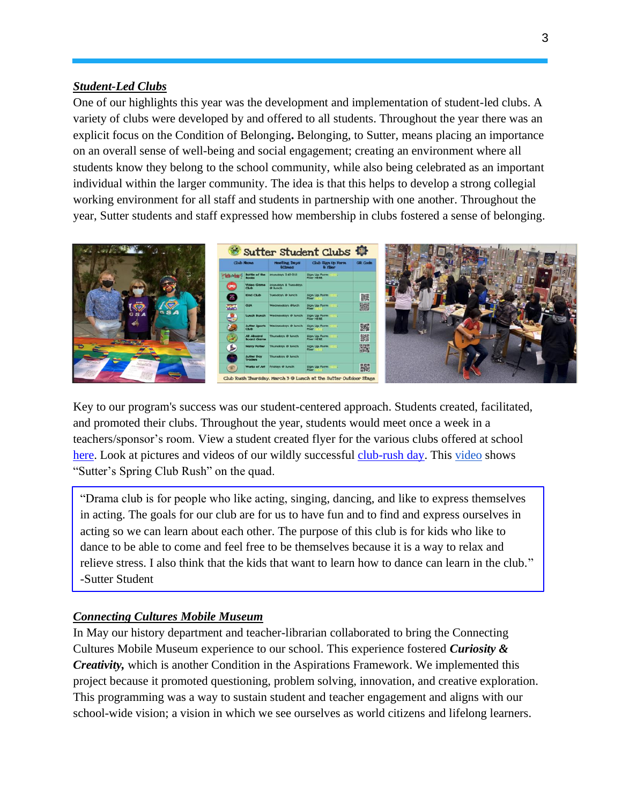#### *Student-Led Clubs*

One of our highlights this year was the development and implementation of student-led clubs. A variety of clubs were developed by and offered to all students. Throughout the year there was an explicit focus on the Condition of Belonging**.** Belonging, to Sutter, means placing an importance on an overall sense of well-being and social engagement; creating an environment where all students know they belong to the school community, while also being celebrated as an important individual within the larger community. The idea is that this helps to develop a strong collegial working environment for all staff and students in partnership with one another. Throughout the year, Sutter students and staff expressed how membership in clubs fostered a sense of belonging.



Key to our program's success was our student-centered approach. Students created, facilitated, and promoted their clubs. Throughout the year, students would meet once a week in a teachers/sponsor's room. View a student created flyer for the various clubs offered at school [here.](https://drive.google.com/file/d/1qm-qY1bxRk-Lg5WdCZqyGKMGeaxmM6ny/view) Look at pictures and videos of our wildly successful [club-rush day.](https://drive.google.com/drive/folders/1rCUHdBnHFiAICintjNGq74zmh-cIoS7k) This [video](https://drive.google.com/file/d/1JNvQ0WlfDflrveHgtngB56rIqyQZg7K9/view?usp=sharing) shows "Sutter's Spring Club Rush" on the quad.

"Drama club is for people who like acting, singing, dancing, and like to express themselves in acting. The goals for our club are for us to have fun and to find and express ourselves in acting so we can learn about each other. The purpose of this club is for kids who like to dance to be able to come and feel free to be themselves because it is a way to relax and relieve stress. I also think that the kids that want to learn how to dance can learn in the club." -Sutter Student

#### *Connecting Cultures Mobile Museum*

In May our history department and teacher-librarian collaborated to bring the Connecting Cultures Mobile Museum experience to our school. This experience fostered *Curiosity & Creativity,* which is another Condition in the Aspirations Framework. We implemented this project because it promoted questioning, problem solving, innovation, and creative exploration. This programming was a way to sustain student and teacher engagement and aligns with our school-wide vision; a vision in which we see ourselves as world citizens and lifelong learners.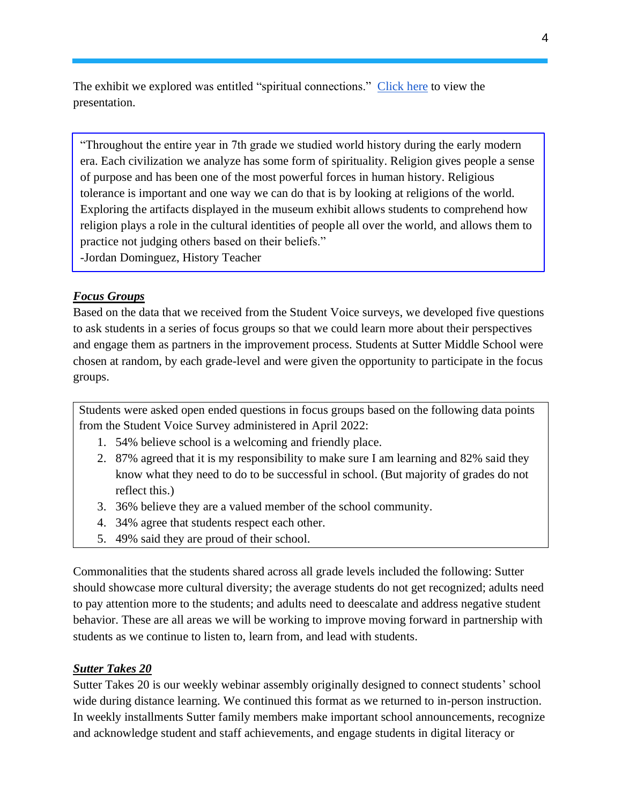The exhibit we explored was entitled "spiritual connections." [Click here](https://docs.google.com/presentation/d/16a7jC3ZXYPRdaOO2oWcryxYUJFEeWS5FMdg6rjiUX0E/edit#slide=id.g12e66547868_0_56) to view the presentation.

"Throughout the entire year in 7th grade we studied world history during the early modern era. Each civilization we analyze has some form of spirituality. Religion gives people a sense of purpose and has been one of the most powerful forces in human history. Religious tolerance is important and one way we can do that is by looking at religions of the world. Exploring the artifacts displayed in the museum exhibit allows students to comprehend how religion plays a role in the cultural identities of people all over the world, and allows them to practice not judging others based on their beliefs."

-Jordan Dominguez, History Teacher

#### *Focus Groups*

Based on the data that we received from the Student Voice surveys, we developed five questions to ask students in a series of focus groups so that we could learn more about their perspectives and engage them as partners in the improvement process. Students at Sutter Middle School were chosen at random, by each grade-level and were given the opportunity to participate in the focus groups.

Students were asked open ended questions in focus groups based on the following data points from the Student Voice Survey administered in April 2022:

- 1. 54% believe school is a welcoming and friendly place.
- 2. 87% agreed that it is my responsibility to make sure I am learning and 82% said they know what they need to do to be successful in school. (But majority of grades do not reflect this.)
- 3. 36% believe they are a valued member of the school community.
- 4. 34% agree that students respect each other.
- 5. 49% said they are proud of their school.

Commonalities that the students shared across all grade levels included the following: Sutter should showcase more cultural diversity; the average students do not get recognized; adults need to pay attention more to the students; and adults need to deescalate and address negative student behavior. These are all areas we will be working to improve moving forward in partnership with students as we continue to listen to, learn from, and lead with students.

#### *Sutter Takes 20*

Sutter Takes 20 is our weekly webinar assembly originally designed to connect students' school wide during distance learning. We continued this format as we returned to in-person instruction. In weekly installments Sutter family members make important school announcements, recognize and acknowledge student and staff achievements, and engage students in digital literacy or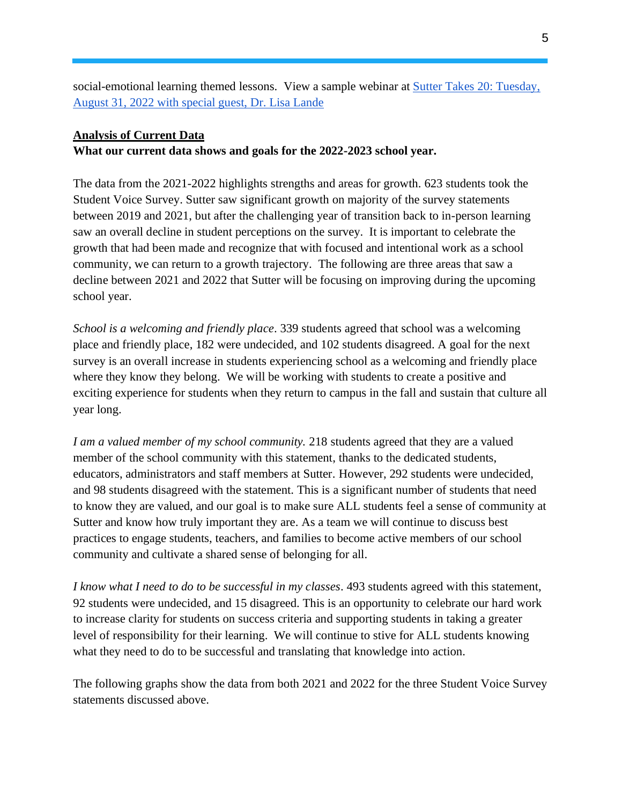social-emotional learning themed lessons. View a sample webinar at **Sutter Takes 20: Tuesday**, [August 31, 2022 with special guest, Dr. Lisa Lande](https://docs.google.com/presentation/d/1qEe6JvIsrlKOcsbr0VTazKEHxj9HgwolO1xiG7x-QiI/edit?usp=sharing)

#### **Analysis of Current Data**

**What our current data shows and goals for the 2022-2023 school year.**

The data from the 2021-2022 highlights strengths and areas for growth. 623 students took the Student Voice Survey. Sutter saw significant growth on majority of the survey statements between 2019 and 2021, but after the challenging year of transition back to in-person learning saw an overall decline in student perceptions on the survey. It is important to celebrate the growth that had been made and recognize that with focused and intentional work as a school community, we can return to a growth trajectory. The following are three areas that saw a decline between 2021 and 2022 that Sutter will be focusing on improving during the upcoming school year.

*School is a welcoming and friendly place*. 339 students agreed that school was a welcoming place and friendly place, 182 were undecided, and 102 students disagreed. A goal for the next survey is an overall increase in students experiencing school as a welcoming and friendly place where they know they belong. We will be working with students to create a positive and exciting experience for students when they return to campus in the fall and sustain that culture all year long.

*I am a valued member of my school community.* 218 students agreed that they are a valued member of the school community with this statement, thanks to the dedicated students, educators, administrators and staff members at Sutter. However, 292 students were undecided, and 98 students disagreed with the statement. This is a significant number of students that need to know they are valued, and our goal is to make sure ALL students feel a sense of community at Sutter and know how truly important they are. As a team we will continue to discuss best practices to engage students, teachers, and families to become active members of our school community and cultivate a shared sense of belonging for all.

*I know what I need to do to be successful in my classes*. 493 students agreed with this statement, 92 students were undecided, and 15 disagreed. This is an opportunity to celebrate our hard work to increase clarity for students on success criteria and supporting students in taking a greater level of responsibility for their learning. We will continue to stive for ALL students knowing what they need to do to be successful and translating that knowledge into action.

The following graphs show the data from both 2021 and 2022 for the three Student Voice Survey statements discussed above.